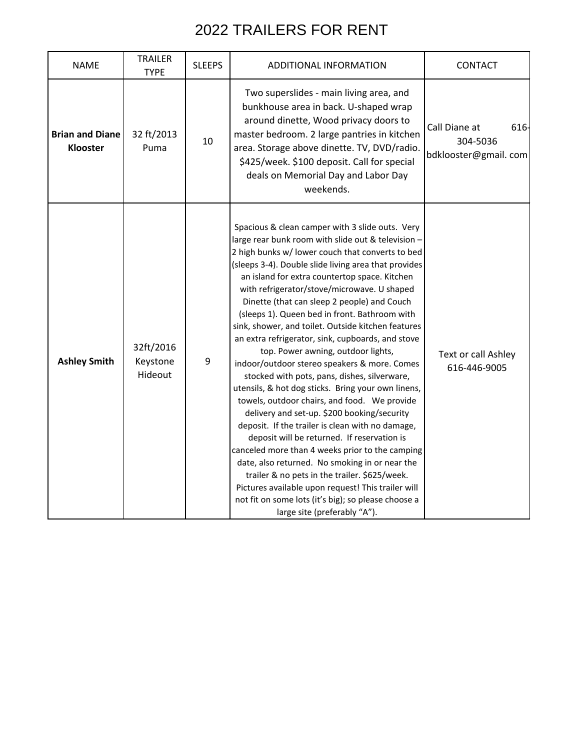| <b>NAME</b>                        | <b>TRAILER</b><br><b>TYPE</b>    | <b>SLEEPS</b> | ADDITIONAL INFORMATION                                                                                                                                                                                                                                                                                                                                                                                                                                                                                                                                                                                                                                                                                                                                                                                                                                                                                                                                                                                                                                                                                                                                                                                                        | CONTACT                                                   |
|------------------------------------|----------------------------------|---------------|-------------------------------------------------------------------------------------------------------------------------------------------------------------------------------------------------------------------------------------------------------------------------------------------------------------------------------------------------------------------------------------------------------------------------------------------------------------------------------------------------------------------------------------------------------------------------------------------------------------------------------------------------------------------------------------------------------------------------------------------------------------------------------------------------------------------------------------------------------------------------------------------------------------------------------------------------------------------------------------------------------------------------------------------------------------------------------------------------------------------------------------------------------------------------------------------------------------------------------|-----------------------------------------------------------|
| <b>Brian and Diane</b><br>Klooster | 32 ft/2013<br>Puma               | 10            | Two superslides - main living area, and<br>bunkhouse area in back. U-shaped wrap<br>around dinette, Wood privacy doors to<br>master bedroom. 2 large pantries in kitchen<br>area. Storage above dinette. TV, DVD/radio.<br>\$425/week. \$100 deposit. Call for special<br>deals on Memorial Day and Labor Day<br>weekends.                                                                                                                                                                                                                                                                                                                                                                                                                                                                                                                                                                                                                                                                                                                                                                                                                                                                                                    | Call Diane at<br>616-<br>304-5036<br>bdklooster@gmail.com |
| <b>Ashley Smith</b>                | 32ft/2016<br>Keystone<br>Hideout | 9             | Spacious & clean camper with 3 slide outs. Very<br>large rear bunk room with slide out & television -<br>2 high bunks w/ lower couch that converts to bed<br>(sleeps 3-4). Double slide living area that provides<br>an island for extra countertop space. Kitchen<br>with refrigerator/stove/microwave. U shaped<br>Dinette (that can sleep 2 people) and Couch<br>(sleeps 1). Queen bed in front. Bathroom with<br>sink, shower, and toilet. Outside kitchen features<br>an extra refrigerator, sink, cupboards, and stove<br>top. Power awning, outdoor lights,<br>indoor/outdoor stereo speakers & more. Comes<br>stocked with pots, pans, dishes, silverware,<br>utensils, & hot dog sticks. Bring your own linens,<br>towels, outdoor chairs, and food. We provide<br>delivery and set-up. \$200 booking/security<br>deposit. If the trailer is clean with no damage,<br>deposit will be returned. If reservation is<br>canceled more than 4 weeks prior to the camping<br>date, also returned. No smoking in or near the<br>trailer & no pets in the trailer. \$625/week.<br>Pictures available upon request! This trailer will<br>not fit on some lots (it's big); so please choose a<br>large site (preferably "A"). | Text or call Ashley<br>616-446-9005                       |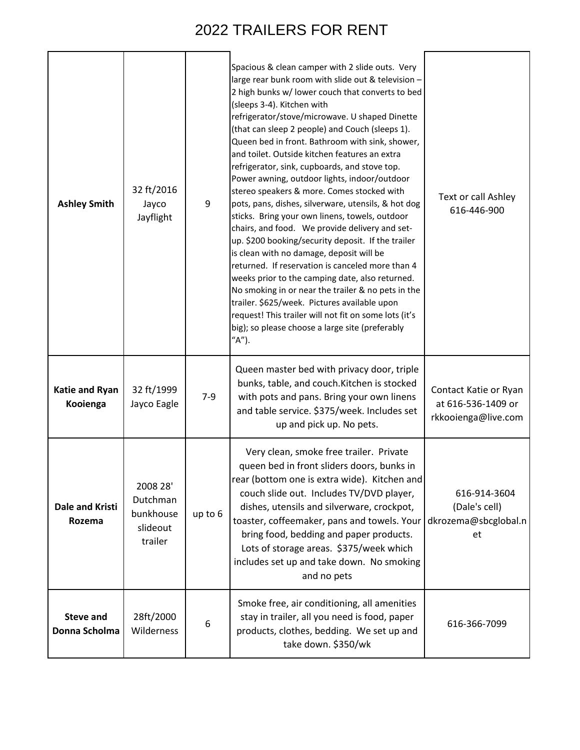| <b>Ashley Smith</b>               | 32 ft/2016<br>Jayco<br>Jayflight                         | 9       | Spacious & clean camper with 2 slide outs. Very<br>large rear bunk room with slide out & television -<br>2 high bunks w/ lower couch that converts to bed<br>(sleeps 3-4). Kitchen with<br>refrigerator/stove/microwave. U shaped Dinette<br>(that can sleep 2 people) and Couch (sleeps 1).<br>Queen bed in front. Bathroom with sink, shower,<br>and toilet. Outside kitchen features an extra<br>refrigerator, sink, cupboards, and stove top.<br>Power awning, outdoor lights, indoor/outdoor<br>stereo speakers & more. Comes stocked with<br>pots, pans, dishes, silverware, utensils, & hot dog<br>sticks. Bring your own linens, towels, outdoor<br>chairs, and food. We provide delivery and set-<br>up. \$200 booking/security deposit. If the trailer<br>is clean with no damage, deposit will be<br>returned. If reservation is canceled more than 4<br>weeks prior to the camping date, also returned.<br>No smoking in or near the trailer & no pets in the<br>trailer. \$625/week. Pictures available upon<br>request! This trailer will not fit on some lots (it's<br>big); so please choose a large site (preferably<br>"A"). | Text or call Ashley<br>616-446-900                                 |
|-----------------------------------|----------------------------------------------------------|---------|------------------------------------------------------------------------------------------------------------------------------------------------------------------------------------------------------------------------------------------------------------------------------------------------------------------------------------------------------------------------------------------------------------------------------------------------------------------------------------------------------------------------------------------------------------------------------------------------------------------------------------------------------------------------------------------------------------------------------------------------------------------------------------------------------------------------------------------------------------------------------------------------------------------------------------------------------------------------------------------------------------------------------------------------------------------------------------------------------------------------------------------------|--------------------------------------------------------------------|
| Katie and Ryan<br>Kooienga        | 32 ft/1999<br>Jayco Eagle                                | $7-9$   | Queen master bed with privacy door, triple<br>bunks, table, and couch. Kitchen is stocked<br>with pots and pans. Bring your own linens<br>and table service. \$375/week. Includes set<br>up and pick up. No pets.                                                                                                                                                                                                                                                                                                                                                                                                                                                                                                                                                                                                                                                                                                                                                                                                                                                                                                                              | Contact Katie or Ryan<br>at 616-536-1409 or<br>rkkooienga@live.com |
| <b>Dale and Kristi</b><br>Rozema  | 2008 28'<br>Dutchman<br>bunkhouse<br>slideout<br>trailer | up to 6 | Very clean, smoke free trailer. Private<br>queen bed in front sliders doors, bunks in<br>rear (bottom one is extra wide). Kitchen and<br>couch slide out. Includes TV/DVD player,<br>dishes, utensils and silverware, crockpot,<br>toaster, coffeemaker, pans and towels. Your<br>bring food, bedding and paper products.<br>Lots of storage areas. \$375/week which<br>includes set up and take down. No smoking<br>and no pets                                                                                                                                                                                                                                                                                                                                                                                                                                                                                                                                                                                                                                                                                                               | 616-914-3604<br>(Dale's cell)<br>dkrozema@sbcglobal.n<br>et        |
| <b>Steve and</b><br>Donna Scholma | 28ft/2000<br>Wilderness                                  | 6       | Smoke free, air conditioning, all amenities<br>stay in trailer, all you need is food, paper<br>products, clothes, bedding. We set up and<br>take down. \$350/wk                                                                                                                                                                                                                                                                                                                                                                                                                                                                                                                                                                                                                                                                                                                                                                                                                                                                                                                                                                                | 616-366-7099                                                       |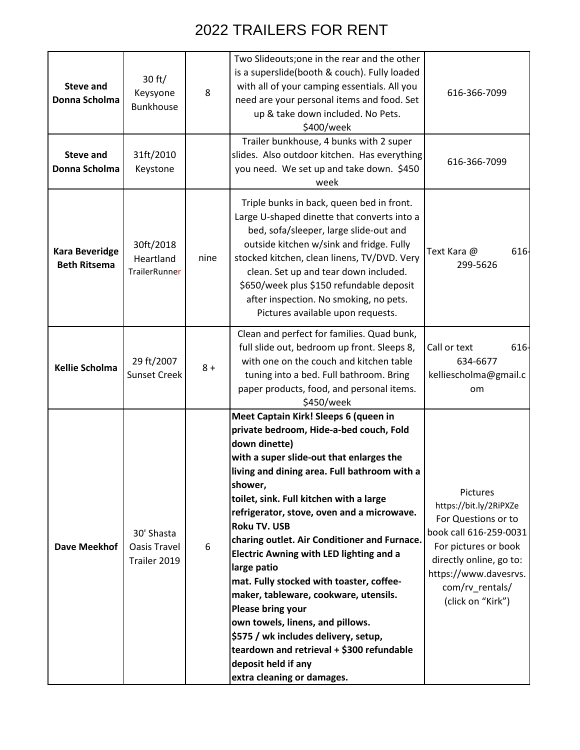| <b>Steve and</b><br>Donna Scholma            | 30 ft/<br>Keysyone<br><b>Bunkhouse</b>     | 8     | Two Slideouts; one in the rear and the other<br>is a superslide(booth & couch). Fully loaded<br>with all of your camping essentials. All you<br>need are your personal items and food. Set<br>up & take down included. No Pets.<br>\$400/week                                                                                                                                                                                                                                                                                                                                                                                                                                                                                            | 616-366-7099                                                                                                                                                                                            |
|----------------------------------------------|--------------------------------------------|-------|------------------------------------------------------------------------------------------------------------------------------------------------------------------------------------------------------------------------------------------------------------------------------------------------------------------------------------------------------------------------------------------------------------------------------------------------------------------------------------------------------------------------------------------------------------------------------------------------------------------------------------------------------------------------------------------------------------------------------------------|---------------------------------------------------------------------------------------------------------------------------------------------------------------------------------------------------------|
| <b>Steve and</b><br>Donna Scholma            | 31ft/2010<br>Keystone                      |       | Trailer bunkhouse, 4 bunks with 2 super<br>slides. Also outdoor kitchen. Has everything<br>you need. We set up and take down. \$450<br>week                                                                                                                                                                                                                                                                                                                                                                                                                                                                                                                                                                                              | 616-366-7099                                                                                                                                                                                            |
| <b>Kara Beveridge</b><br><b>Beth Ritsema</b> | 30ft/2018<br>Heartland<br>TrailerRunner    | nine  | Triple bunks in back, queen bed in front.<br>Large U-shaped dinette that converts into a<br>bed, sofa/sleeper, large slide-out and<br>outside kitchen w/sink and fridge. Fully<br>stocked kitchen, clean linens, TV/DVD. Very<br>clean. Set up and tear down included.<br>\$650/week plus \$150 refundable deposit<br>after inspection. No smoking, no pets.<br>Pictures available upon requests.                                                                                                                                                                                                                                                                                                                                        | 616<br>Text Kara @<br>299-5626                                                                                                                                                                          |
| <b>Kellie Scholma</b>                        | 29 ft/2007<br>Sunset Creek                 | $8 +$ | Clean and perfect for families. Quad bunk,<br>full slide out, bedroom up front. Sleeps 8,<br>with one on the couch and kitchen table<br>tuning into a bed. Full bathroom. Bring<br>paper products, food, and personal items.<br>\$450/week                                                                                                                                                                                                                                                                                                                                                                                                                                                                                               | Call or text<br>616-<br>634-6677<br>kelliescholma@gmail.c<br>om                                                                                                                                         |
| <b>Dave Meekhof</b>                          | 30' Shasta<br>Oasis Travel<br>Trailer 2019 | 6     | Meet Captain Kirk! Sleeps 6 (queen in<br>private bedroom, Hide-a-bed couch, Fold<br>down dinette)<br>with a super slide-out that enlarges the<br>living and dining area. Full bathroom with a<br>shower,<br>toilet, sink. Full kitchen with a large<br>refrigerator, stove, oven and a microwave.<br><b>Roku TV. USB</b><br>charing outlet. Air Conditioner and Furnace.<br><b>Electric Awning with LED lighting and a</b><br>large patio<br>mat. Fully stocked with toaster, coffee-<br>maker, tableware, cookware, utensils.<br><b>Please bring your</b><br>own towels, linens, and pillows.<br>\$575 / wk includes delivery, setup,<br>teardown and retrieval + \$300 refundable<br>deposit held if any<br>extra cleaning or damages. | Pictures<br>https://bit.ly/2RiPXZe<br>For Questions or to<br>book call 616-259-0031<br>For pictures or book<br>directly online, go to:<br>https://www.davesrvs.<br>com/rv_rentals/<br>(click on "Kirk") |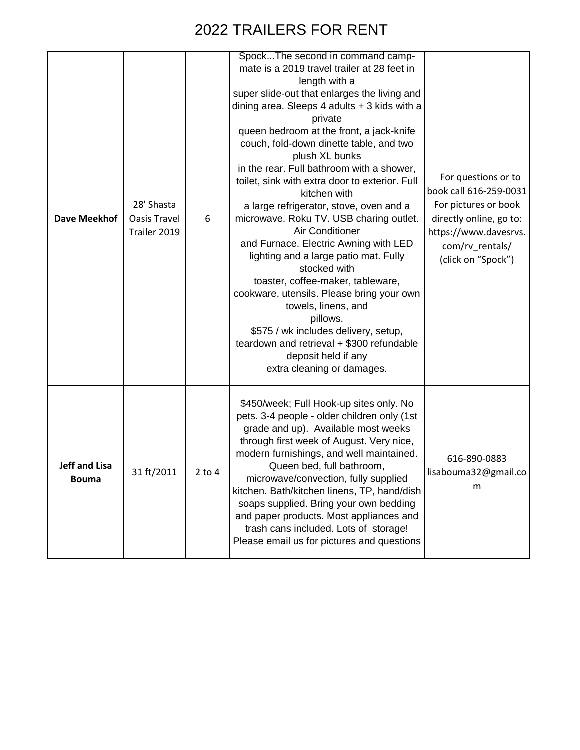| Dave Meekhof                         | 28' Shasta<br><b>Oasis Travel</b><br>Trailer 2019 | 6        | SpockThe second in command camp-<br>mate is a 2019 travel trailer at 28 feet in<br>length with a<br>super slide-out that enlarges the living and<br>dining area. Sleeps 4 adults + 3 kids with a<br>private<br>queen bedroom at the front, a jack-knife<br>couch, fold-down dinette table, and two<br>plush XL bunks<br>in the rear. Full bathroom with a shower,<br>toilet, sink with extra door to exterior. Full<br>kitchen with<br>a large refrigerator, stove, oven and a<br>microwave. Roku TV. USB charing outlet.<br>Air Conditioner<br>and Furnace. Electric Awning with LED<br>lighting and a large patio mat. Fully<br>stocked with<br>toaster, coffee-maker, tableware,<br>cookware, utensils. Please bring your own<br>towels, linens, and<br>pillows.<br>\$575 / wk includes delivery, setup,<br>teardown and retrieval + \$300 refundable<br>deposit held if any | For questions or to<br>book call 616-259-0031<br>For pictures or book<br>directly online, go to:<br>https://www.davesrvs.<br>com/rv rentals/<br>(click on "Spock") |
|--------------------------------------|---------------------------------------------------|----------|---------------------------------------------------------------------------------------------------------------------------------------------------------------------------------------------------------------------------------------------------------------------------------------------------------------------------------------------------------------------------------------------------------------------------------------------------------------------------------------------------------------------------------------------------------------------------------------------------------------------------------------------------------------------------------------------------------------------------------------------------------------------------------------------------------------------------------------------------------------------------------|--------------------------------------------------------------------------------------------------------------------------------------------------------------------|
|                                      |                                                   |          | extra cleaning or damages.                                                                                                                                                                                                                                                                                                                                                                                                                                                                                                                                                                                                                                                                                                                                                                                                                                                      |                                                                                                                                                                    |
| <b>Jeff and Lisa</b><br><b>Bouma</b> | 31 ft/2011                                        | $2$ to 4 | \$450/week; Full Hook-up sites only. No<br>pets. 3-4 people - older children only (1st<br>grade and up). Available most weeks<br>through first week of August. Very nice,<br>modern furnishings, and well maintained.<br>Queen bed, full bathroom,<br>microwave/convection, fully supplied<br>kitchen. Bath/kitchen linens, TP, hand/dish<br>soaps supplied. Bring your own bedding<br>and paper products. Most appliances and<br>trash cans included. Lots of storage!<br>Please email us for pictures and questions                                                                                                                                                                                                                                                                                                                                                           | 616-890-0883<br>lisabouma32@gmail.co<br>m                                                                                                                          |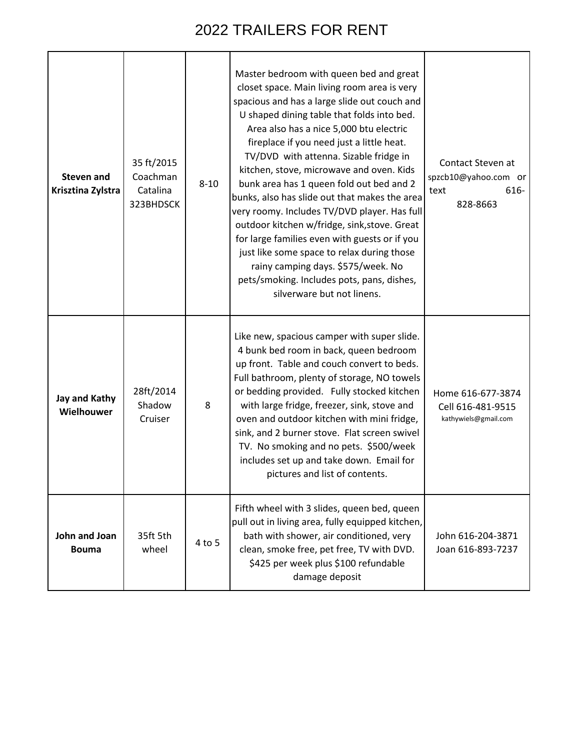| <b>Steven and</b><br>Krisztina Zylstra | 35 ft/2015<br>Coachman<br>Catalina<br>323BHDSCK | $8 - 10$ | Master bedroom with queen bed and great<br>closet space. Main living room area is very<br>spacious and has a large slide out couch and<br>U shaped dining table that folds into bed.<br>Area also has a nice 5,000 btu electric<br>fireplace if you need just a little heat.<br>TV/DVD with attenna. Sizable fridge in<br>kitchen, stove, microwave and oven. Kids<br>bunk area has 1 queen fold out bed and 2<br>bunks, also has slide out that makes the area<br>very roomy. Includes TV/DVD player. Has full<br>outdoor kitchen w/fridge, sink, stove. Great<br>for large families even with guests or if you<br>just like some space to relax during those<br>rainy camping days. \$575/week. No<br>pets/smoking. Includes pots, pans, dishes,<br>silverware but not linens. | Contact Steven at<br>spzcb10@yahoo.com or<br>616-<br>text<br>828-8663 |
|----------------------------------------|-------------------------------------------------|----------|----------------------------------------------------------------------------------------------------------------------------------------------------------------------------------------------------------------------------------------------------------------------------------------------------------------------------------------------------------------------------------------------------------------------------------------------------------------------------------------------------------------------------------------------------------------------------------------------------------------------------------------------------------------------------------------------------------------------------------------------------------------------------------|-----------------------------------------------------------------------|
| Jay and Kathy<br>Wielhouwer            | 28ft/2014<br>Shadow<br>Cruiser                  | 8        | Like new, spacious camper with super slide.<br>4 bunk bed room in back, queen bedroom<br>up front. Table and couch convert to beds.<br>Full bathroom, plenty of storage, NO towels<br>or bedding provided. Fully stocked kitchen<br>with large fridge, freezer, sink, stove and<br>oven and outdoor kitchen with mini fridge,<br>sink, and 2 burner stove. Flat screen swivel<br>TV. No smoking and no pets. \$500/week<br>includes set up and take down. Email for<br>pictures and list of contents.                                                                                                                                                                                                                                                                            | Home 616-677-3874<br>Cell 616-481-9515<br>kathywiels@gmail.com        |
| John and Joan<br><b>Bouma</b>          | 35ft 5th<br>wheel                               | 4 to 5   | Fifth wheel with 3 slides, queen bed, queen<br>pull out in living area, fully equipped kitchen,<br>bath with shower, air conditioned, very<br>clean, smoke free, pet free, TV with DVD.<br>\$425 per week plus \$100 refundable<br>damage deposit                                                                                                                                                                                                                                                                                                                                                                                                                                                                                                                                | John 616-204-3871<br>Joan 616-893-7237                                |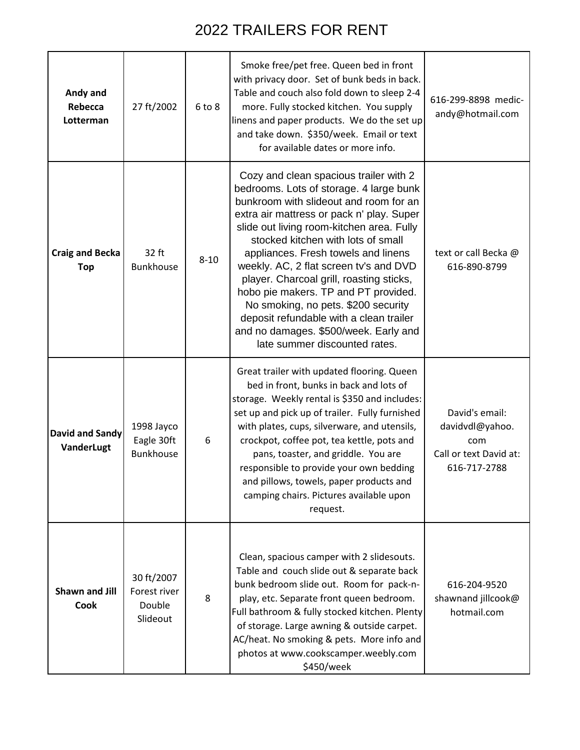| Andy and<br>Rebecca<br>Lotterman     | 27 ft/2002                                       | 6 to 8   | Smoke free/pet free. Queen bed in front<br>with privacy door. Set of bunk beds in back.<br>Table and couch also fold down to sleep 2-4<br>more. Fully stocked kitchen. You supply<br>linens and paper products. We do the set up<br>and take down. \$350/week. Email or text<br>for available dates or more info.                                                                                                                                                                                                                                                                            | 616-299-8898 medic-<br>andy@hotmail.com                                            |
|--------------------------------------|--------------------------------------------------|----------|----------------------------------------------------------------------------------------------------------------------------------------------------------------------------------------------------------------------------------------------------------------------------------------------------------------------------------------------------------------------------------------------------------------------------------------------------------------------------------------------------------------------------------------------------------------------------------------------|------------------------------------------------------------------------------------|
| <b>Craig and Becka</b><br><b>Top</b> | 32 ft<br><b>Bunkhouse</b>                        | $8 - 10$ | Cozy and clean spacious trailer with 2<br>bedrooms. Lots of storage. 4 large bunk<br>bunkroom with slideout and room for an<br>extra air mattress or pack n' play. Super<br>slide out living room-kitchen area. Fully<br>stocked kitchen with lots of small<br>appliances. Fresh towels and linens<br>weekly. AC, 2 flat screen tv's and DVD<br>player. Charcoal grill, roasting sticks,<br>hobo pie makers. TP and PT provided.<br>No smoking, no pets. \$200 security<br>deposit refundable with a clean trailer<br>and no damages. \$500/week. Early and<br>late summer discounted rates. | text or call Becka @<br>616-890-8799                                               |
| <b>David and Sandy</b><br>VanderLugt | 1998 Jayco<br>Eagle 30ft<br><b>Bunkhouse</b>     | 6        | Great trailer with updated flooring. Queen<br>bed in front, bunks in back and lots of<br>storage. Weekly rental is \$350 and includes:<br>set up and pick up of trailer. Fully furnished<br>with plates, cups, silverware, and utensils,<br>crockpot, coffee pot, tea kettle, pots and<br>pans, toaster, and griddle. You are<br>responsible to provide your own bedding<br>and pillows, towels, paper products and<br>camping chairs. Pictures available upon<br>request.                                                                                                                   | David's email:<br>davidvdl@yahoo.<br>com<br>Call or text David at:<br>616-717-2788 |
| <b>Shawn and Jill</b><br><b>Cook</b> | 30 ft/2007<br>Forest river<br>Double<br>Slideout | 8        | Clean, spacious camper with 2 slidesouts.<br>Table and couch slide out & separate back<br>bunk bedroom slide out. Room for pack-n-<br>play, etc. Separate front queen bedroom.<br>Full bathroom & fully stocked kitchen. Plenty<br>of storage. Large awning & outside carpet.<br>AC/heat. No smoking & pets. More info and<br>photos at www.cookscamper.weebly.com<br>\$450/week                                                                                                                                                                                                             | 616-204-9520<br>shawnand jillcook@<br>hotmail.com                                  |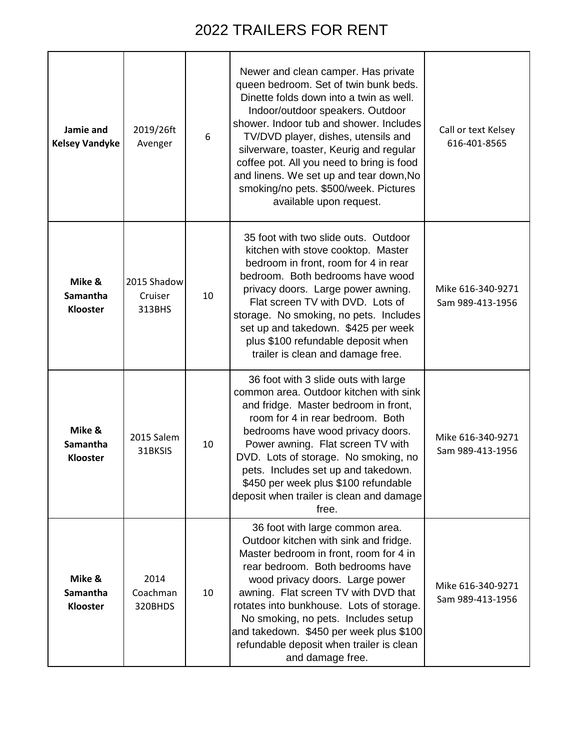| Jamie and<br><b>Kelsey Vandyke</b>    | 2019/26ft<br>Avenger             | 6  | Newer and clean camper. Has private<br>queen bedroom. Set of twin bunk beds.<br>Dinette folds down into a twin as well.<br>Indoor/outdoor speakers. Outdoor<br>shower. Indoor tub and shower. Includes<br>TV/DVD player, dishes, utensils and<br>silverware, toaster, Keurig and regular<br>coffee pot. All you need to bring is food<br>and linens. We set up and tear down, No<br>smoking/no pets. \$500/week. Pictures<br>available upon request. | Call or text Kelsey<br>616-401-8565   |
|---------------------------------------|----------------------------------|----|------------------------------------------------------------------------------------------------------------------------------------------------------------------------------------------------------------------------------------------------------------------------------------------------------------------------------------------------------------------------------------------------------------------------------------------------------|---------------------------------------|
| Mike &<br>Samantha<br>Klooster        | 2015 Shadow<br>Cruiser<br>313BHS | 10 | 35 foot with two slide outs. Outdoor<br>kitchen with stove cooktop. Master<br>bedroom in front, room for 4 in rear<br>bedroom. Both bedrooms have wood<br>privacy doors. Large power awning.<br>Flat screen TV with DVD. Lots of<br>storage. No smoking, no pets. Includes<br>set up and takedown. \$425 per week<br>plus \$100 refundable deposit when<br>trailer is clean and damage free.                                                         | Mike 616-340-9271<br>Sam 989-413-1956 |
| Mike &<br>Samantha<br><b>Klooster</b> | 2015 Salem<br>31BKSIS            | 10 | 36 foot with 3 slide outs with large<br>common area. Outdoor kitchen with sink<br>and fridge. Master bedroom in front,<br>room for 4 in rear bedroom. Both<br>bedrooms have wood privacy doors.<br>Power awning. Flat screen TV with<br>DVD. Lots of storage. No smoking, no<br>pets. Includes set up and takedown.<br>\$450 per week plus \$100 refundable<br>deposit when trailer is clean and damage<br>free.                                     | Mike 616-340-9271<br>Sam 989-413-1956 |
| Mike &<br>Samantha<br>Klooster        | 2014<br>Coachman<br>320BHDS      | 10 | 36 foot with large common area.<br>Outdoor kitchen with sink and fridge.<br>Master bedroom in front, room for 4 in<br>rear bedroom. Both bedrooms have<br>wood privacy doors. Large power<br>awning. Flat screen TV with DVD that<br>rotates into bunkhouse. Lots of storage.<br>No smoking, no pets. Includes setup<br>and takedown. \$450 per week plus \$100<br>refundable deposit when trailer is clean<br>and damage free.                      | Mike 616-340-9271<br>Sam 989-413-1956 |